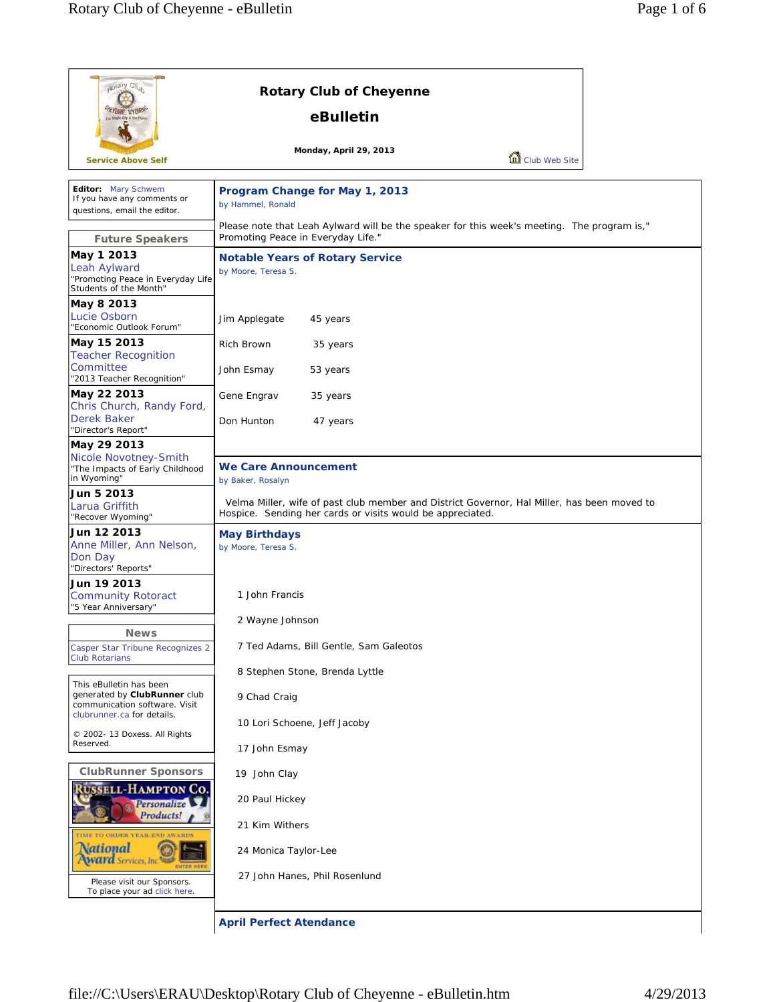| potary Clut                                                                                                         | <b>Rotary Club of Cheyenne</b>                                                                                                                                                 |
|---------------------------------------------------------------------------------------------------------------------|--------------------------------------------------------------------------------------------------------------------------------------------------------------------------------|
|                                                                                                                     | eBulletin                                                                                                                                                                      |
| <b>Service Above Self</b>                                                                                           | Monday, April 29, 2013<br>Club Web Site                                                                                                                                        |
| Editor: Mary Schwem<br>If you have any comments or<br>questions, email the editor.                                  | Program Change for May 1, 2013<br>by Hammel, Ronald<br>Please note that Leah Aylward will be the speaker for this week's meeting. The program is,"                             |
| <b>Future Speakers</b><br>May 1 2013<br>Leah Aylward<br>"Promoting Peace in Everyday Life<br>Students of the Month" | Promoting Peace in Everyday Life."<br><b>Notable Years of Rotary Service</b><br>by Moore, Teresa S.                                                                            |
| May 8 2013<br>Lucie Osborn<br>"Economic Outlook Forum"                                                              | Jim Applegate<br>45 years                                                                                                                                                      |
| May 15 2013<br><b>Teacher Recognition</b><br>Committee                                                              | Rich Brown<br>35 years<br>John Esmay<br>53 years                                                                                                                               |
| "2013 Teacher Recognition"<br>May 22 2013<br>Chris Church, Randy Ford,<br>Derek Baker                               | Gene Engrav<br>35 years<br>Don Hunton                                                                                                                                          |
| "Director's Report"<br>May 29 2013 <br>Nicole Novotney-Smith<br>"The Impacts of Early Childhood                     | 47 years<br><b>We Care Announcement</b>                                                                                                                                        |
| in Wyoming"<br>Jun 5 2013<br>Larua Griffith<br>"Recover Wyoming"                                                    | by Baker, Rosalyn<br>Velma Miller, wife of past club member and District Governor, Hal Miller, has been moved to<br>Hospice. Sending her cards or visits would be appreciated. |
| Jun 12 2013<br>Anne Miller, Ann Nelson,<br>Don Day<br>"Directors' Reports"                                          | <b>May Birthdays</b><br>by Moore, Teresa S.                                                                                                                                    |
| Jun 19 2013<br><b>Community Rotoract</b><br>"5 Year Anniversary"                                                    | 1 John Francis                                                                                                                                                                 |
| <b>News</b>                                                                                                         | 2 Wayne Johnson                                                                                                                                                                |
| Casper Star Tribune Recognizes 2<br><b>Club Rotarians</b>                                                           | 7 Ted Adams, Bill Gentle, Sam Galeotos                                                                                                                                         |
| This eBulletin has been<br>generated by ClubRunner club<br>communication software. Visit                            | 8 Stephen Stone, Brenda Lyttle<br>9 Chad Craig                                                                                                                                 |
| clubrunner.ca for details.<br>© 2002- 13 Doxess. All Rights                                                         | 10 Lori Schoene, Jeff Jacoby                                                                                                                                                   |
| Reserved.                                                                                                           | 17 John Esmay                                                                                                                                                                  |
| <b>ClubRunner Sponsors</b><br><b>RUSSELL-HAMPTON CO.</b>                                                            | 19 John Clay                                                                                                                                                                   |
| Personalize<br>Products!<br>TIME TO ORDER YEAR-END.<br><b>WARDS</b>                                                 | 20 Paul Hickey                                                                                                                                                                 |
|                                                                                                                     | 21 Kim Withers                                                                                                                                                                 |
| <b><i><u>National</u></i></b><br><b>Ward</b> Services, Inc<br><b>ENTER HERE</b>                                     | 24 Monica Taylor-Lee<br>27 John Hanes, Phil Rosenlund                                                                                                                          |
| Please visit our Sponsors.<br>To place your ad click here.                                                          |                                                                                                                                                                                |

**April Perfect Atendance**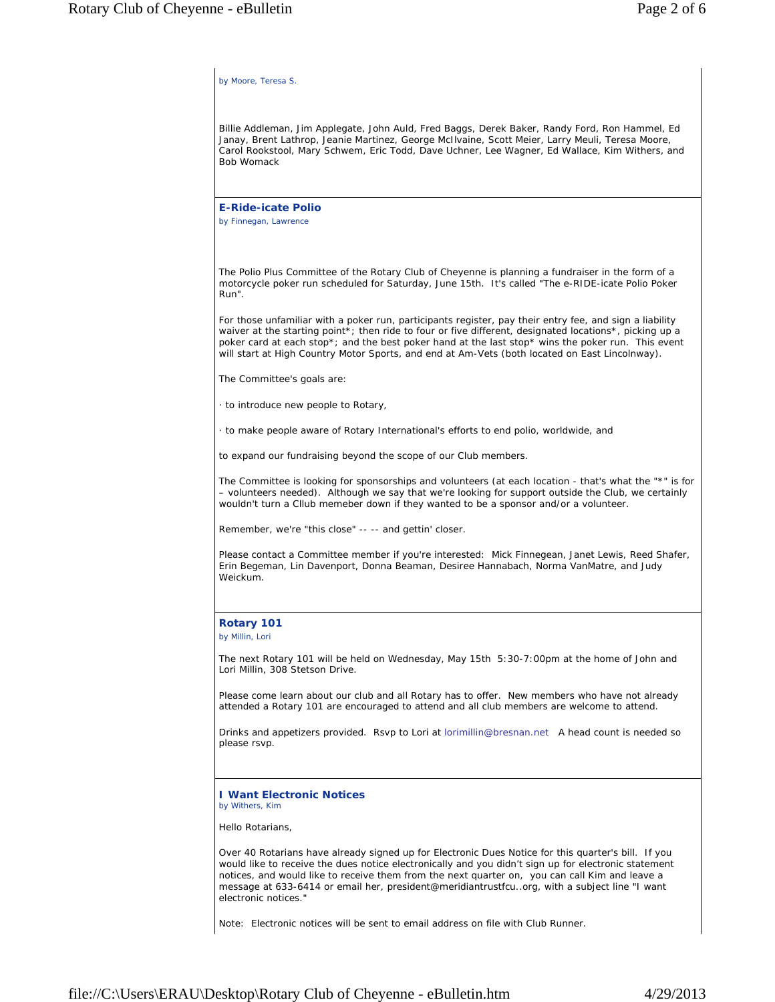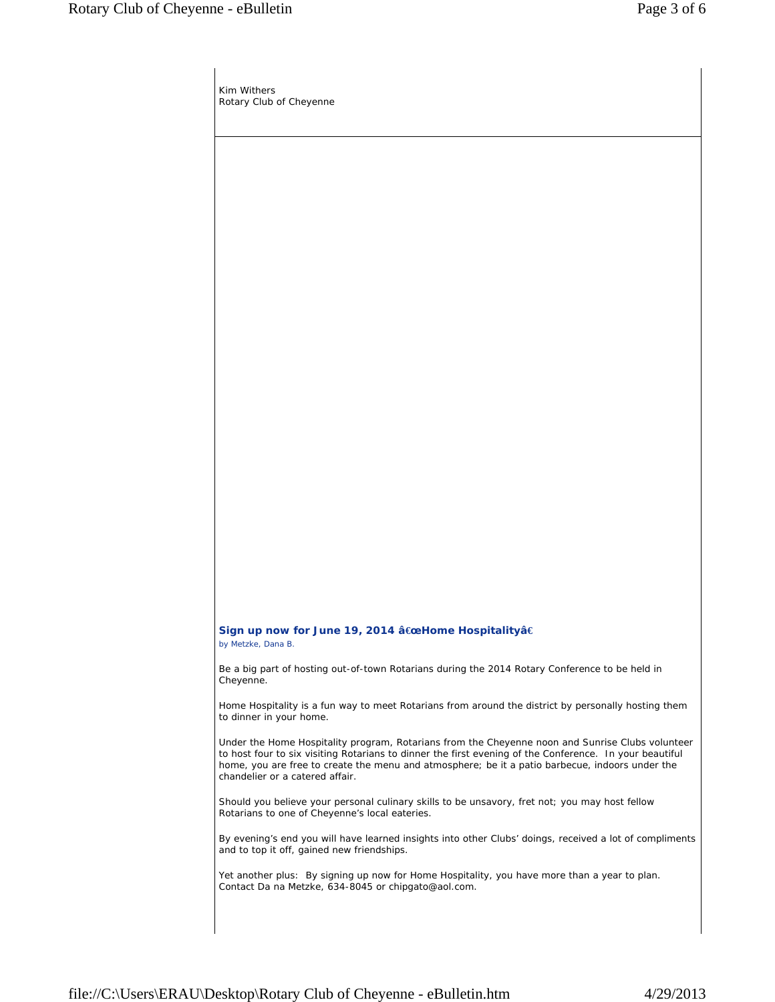Kim Withers Rotary Club of Cheyenne

## **Sign up now for June 19, 2014 â€œHome Hospitalityâ€** *by Metzke, Dana B.*

Be a big part of hosting out-of-town Rotarians during the 2014 Rotary Conference to be held in Cheyenne.

Home Hospitality is a fun way to meet Rotarians from around the district by personally hosting them to dinner in your home.

Under the Home Hospitality program, Rotarians from the Cheyenne noon and Sunrise Clubs volunteer to host four to six visiting Rotarians to dinner the first evening of the Conference. In your beautiful home, you are free to create the menu and atmosphere; be it a patio barbecue, indoors under the chandelier or a catered affair.

Should you believe your personal culinary skills to be unsavory, fret not; you may host fellow Rotarians to one of Cheyenne's local eateries.

By evening's end you will have learned insights into other Clubs' doings, received a lot of compliments and to top it off, gained new friendships.

Yet another plus: By signing up now for Home Hospitality, you have more than a year to plan. Contact Da na Metzke, 634-8045 or chipgato@aol.com.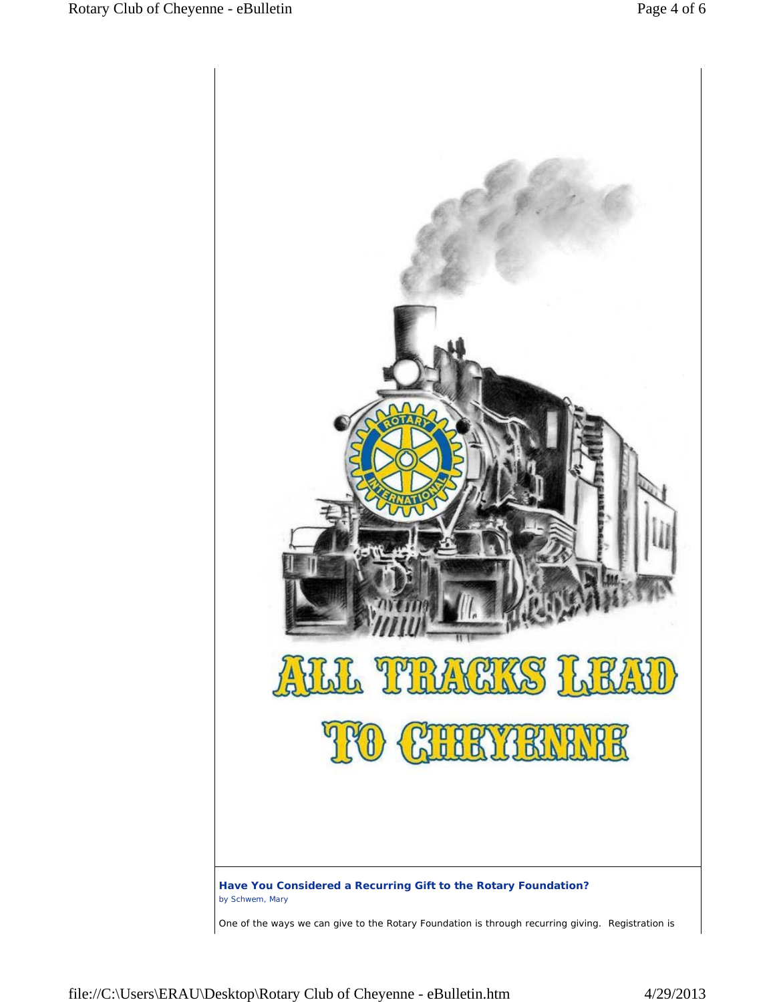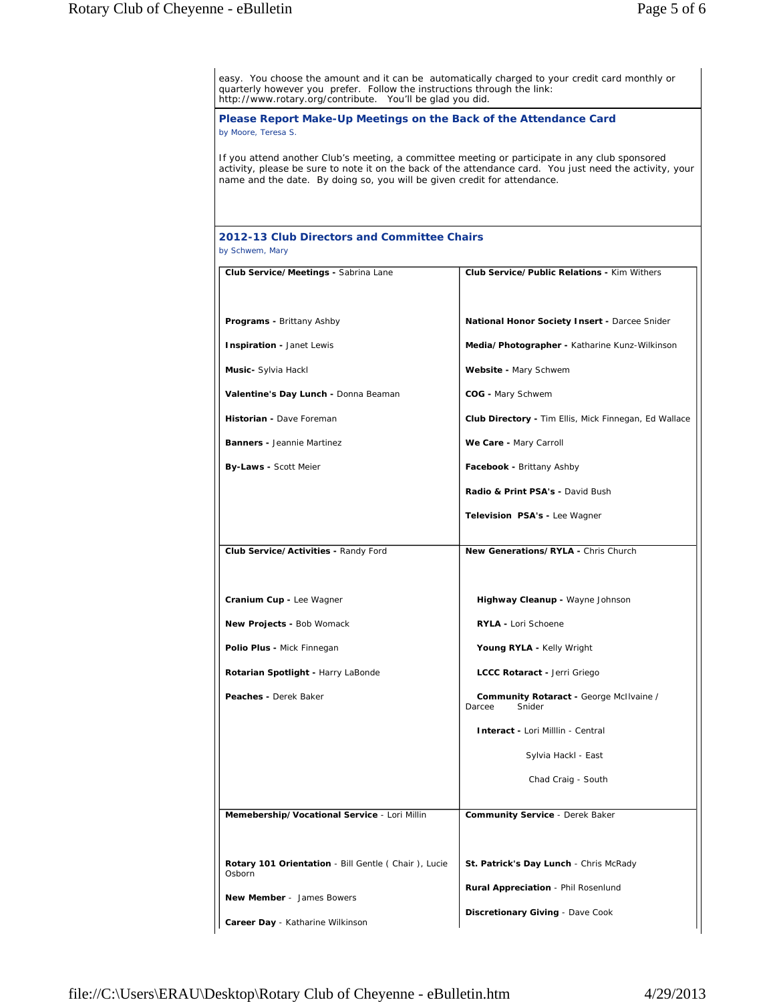easy. You choose the amount and it can be automatically charged to your credit card monthly or quarterly however you prefer. Follow the instructions through the link: http://www.rotary.org/contribute. You'll be glad you did. **Please Report Make-Up Meetings on the Back of the Attendance Card** *by Moore, Teresa S.* If you attend another Club's meeting, a committee meeting or participate in any club sponsored activity, please be sure to note it on the back of the attendance card. You just need the activity, your name and the date. By doing so, you will be given credit for attendance. **2012-13 Club Directors and Committee Chairs** *by Schwem, Mary* **Club Service/Meetings -** Sabrina Lane *Programs* **-** Brittany Ashby *Inspiration* **-** Janet Lewis *Music***-** Sylvia Hackl *Valentine's Day Lunch* **-** Donna Beaman *Historian* **-** Dave Foreman *Banners* **-** Jeannie Martinez *By-Laws* **-** Scott Meier **Club Service/Public Relations -** Kim Withers *National Honor Society Insert* **-** Darcee Snider *Media/Photographer* **-** Katharine Kunz-Wilkinson *Website* **-** Mary Schwem *COG* **-** Mary Schwem *Club Directory* **-** Tim Ellis, Mick Finnegan, Ed Wallace *We Care* **-** Mary Carroll *Facebook* **-** Brittany Ashby *Radio & Print PSA's* **-** David Bush **Television PSA's - Lee Wagner Club Service/Activities -** Randy Ford *Cranium Cup* **-** Lee Wagner *New Projects* **-** Bob Womack *Polio Plus* **-** Mick Finnegan *Rotarian Spotlight* **-** Harry LaBonde *Peaches* **-** Derek Baker **New Generations/RYLA -** Chris Church *Highway Cleanup* **-** Wayne Johnson *RYLA* **-** Lori Schoene *Young RYLA* **-** Kelly Wright *LCCC Rotaract* **-** Jerri Griego **Community Rotaract** - George McIlvaine /<br>
rcee Snider Darcee *Interact* **-** *Lori Milllin - Central Sylvia Hackl - East Chad Craig - South* **Memebership/Vocational Service** - Lori Millin *Rotary 101 Orientation* - Bill Gentle ( Chair ), Lucie **Osborn** *New Member* - James Bowers *Career Day* - Katharine Wilkinson **Community Service** - Derek Baker *St. Patrick's Day Lunch* - Chris McRady *Rural Appreciation* - Phil Rosenlund *Discretionary Giving* - Dave Cook